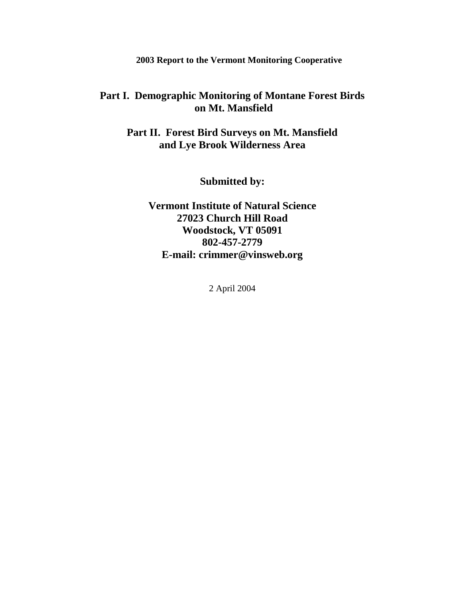**2003 Report to the Vermont Monitoring Cooperative**

# **Part I. Demographic Monitoring of Montane Forest Birds on Mt. Mansfield**

**Part II. Forest Bird Surveys on Mt. Mansfield and Lye Brook Wilderness Area**

**Submitted by:**

**Vermont Institute of Natural Science 27023 Church Hill Road Woodstock, VT 05091 802-457-2779 E-mail: crimmer@vinsweb.org**

2 April 2004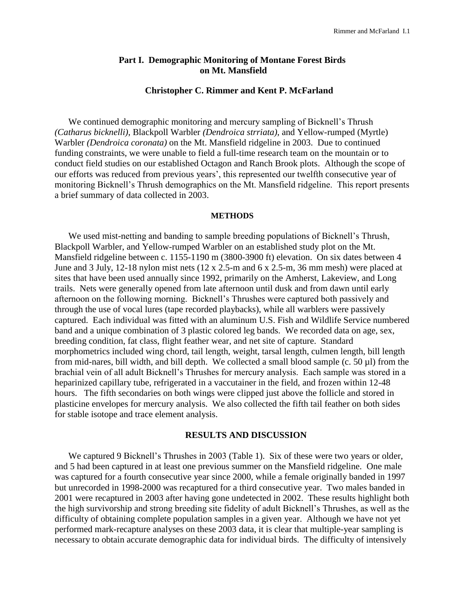## **Part I. Demographic Monitoring of Montane Forest Birds on Mt. Mansfield**

### **Christopher C. Rimmer and Kent P. McFarland**

We continued demographic monitoring and mercury sampling of Bicknell's Thrush *(Catharus bicknelli)*, Blackpoll Warbler *(Dendroica strriata)*, and Yellow-rumped (Myrtle) Warbler *(Dendroica coronata)* on the Mt. Mansfield ridgeline in 2003. Due to continued funding constraints, we were unable to field a full-time research team on the mountain or to conduct field studies on our established Octagon and Ranch Brook plots. Although the scope of our efforts was reduced from previous years', this represented our twelfth consecutive year of monitoring Bicknell's Thrush demographics on the Mt. Mansfield ridgeline. This report presents a brief summary of data collected in 2003.

#### **METHODS**

We used mist-netting and banding to sample breeding populations of Bicknell's Thrush, Blackpoll Warbler, and Yellow-rumped Warbler on an established study plot on the Mt. Mansfield ridgeline between c. 1155-1190 m (3800-3900 ft) elevation. On six dates between 4 June and 3 July, 12-18 nylon mist nets (12 x 2.5-m and 6 x 2.5-m, 36 mm mesh) were placed at sites that have been used annually since 1992, primarily on the Amherst, Lakeview, and Long trails. Nets were generally opened from late afternoon until dusk and from dawn until early afternoon on the following morning. Bicknell's Thrushes were captured both passively and through the use of vocal lures (tape recorded playbacks), while all warblers were passively captured. Each individual was fitted with an aluminum U.S. Fish and Wildlife Service numbered band and a unique combination of 3 plastic colored leg bands. We recorded data on age, sex, breeding condition, fat class, flight feather wear, and net site of capture. Standard morphometrics included wing chord, tail length, weight, tarsal length, culmen length, bill length from mid-nares, bill width, and bill depth. We collected a small blood sample (c. 50 µl) from the brachial vein of all adult Bicknell's Thrushes for mercury analysis. Each sample was stored in a heparinized capillary tube, refrigerated in a vaccutainer in the field, and frozen within 12-48 hours. The fifth secondaries on both wings were clipped just above the follicle and stored in plasticine envelopes for mercury analysis. We also collected the fifth tail feather on both sides for stable isotope and trace element analysis.

### **RESULTS AND DISCUSSION**

We captured 9 Bicknell's Thrushes in 2003 (Table 1). Six of these were two years or older, and 5 had been captured in at least one previous summer on the Mansfield ridgeline. One male was captured for a fourth consecutive year since 2000, while a female originally banded in 1997 but unrecorded in 1998-2000 was recaptured for a third consecutive year. Two males banded in 2001 were recaptured in 2003 after having gone undetected in 2002. These results highlight both the high survivorship and strong breeding site fidelity of adult Bicknell's Thrushes, as well as the difficulty of obtaining complete population samples in a given year. Although we have not yet performed mark-recapture analyses on these 2003 data, it is clear that multiple-year sampling is necessary to obtain accurate demographic data for individual birds. The difficulty of intensively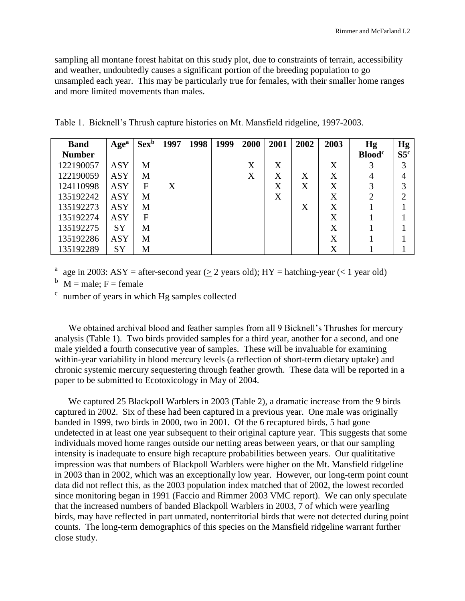sampling all montane forest habitat on this study plot, due to constraints of terrain, accessibility and weather, undoubtedly causes a significant portion of the breeding population to go unsampled each year. This may be particularly true for females, with their smaller home ranges and more limited movements than males.

| <b>Band</b>   | Age <sup>a</sup> | $Sex^b$ | 1997 | 1998 | 1999 | 2000 | 2001 | 2002 | 2003 | Hg                        | Hg              |
|---------------|------------------|---------|------|------|------|------|------|------|------|---------------------------|-----------------|
| <b>Number</b> |                  |         |      |      |      |      |      |      |      | <b>Blood</b> <sup>c</sup> | S5 <sup>c</sup> |
| 122190057     | ASY              | M       |      |      |      | X    | X    |      | X    | 3                         | 3               |
| 122190059     | <b>ASY</b>       | M       |      |      |      | X    | X    | X    | X    | 4                         | 4               |
| 124110998     | ASY              | F       | X    |      |      |      | X    | X    | X    | 3                         | 3               |
| 135192242     | <b>ASY</b>       | М       |      |      |      |      | X    |      | X    | $\overline{2}$            |                 |
| 135192273     | ASY              | M       |      |      |      |      |      | X    | X    |                           |                 |
| 135192274     | ASY              | F       |      |      |      |      |      |      | X    |                           |                 |
| 135192275     | <b>SY</b>        | М       |      |      |      |      |      |      | X    |                           |                 |
| 135192286     | ASY              | М       |      |      |      |      |      |      | X    |                           |                 |
| 135192289     | SY               | M       |      |      |      |      |      |      | X    |                           |                 |

Table 1. Bicknell's Thrush capture histories on Mt. Mansfield ridgeline, 1997-2003.

<sup>a</sup> age in 2003: ASY = after-second year ( $\geq$  2 years old); HY = hatching-year (< 1 year old)

 $b$  M = male; F = female

<sup>c</sup> number of years in which Hg samples collected

We obtained archival blood and feather samples from all 9 Bicknell's Thrushes for mercury analysis (Table 1). Two birds provided samples for a third year, another for a second, and one male yielded a fourth consecutive year of samples. These will be invaluable for examining within-year variability in blood mercury levels (a reflection of short-term dietary uptake) and chronic systemic mercury sequestering through feather growth. These data will be reported in a paper to be submitted to Ecotoxicology in May of 2004.

We captured 25 Blackpoll Warblers in 2003 (Table 2), a dramatic increase from the 9 birds captured in 2002. Six of these had been captured in a previous year. One male was originally banded in 1999, two birds in 2000, two in 2001. Of the 6 recaptured birds, 5 had gone undetected in at least one year subsequent to their original capture year. This suggests that some individuals moved home ranges outside our netting areas between years, or that our sampling intensity is inadequate to ensure high recapture probabilities between years. Our qualititative impression was that numbers of Blackpoll Warblers were higher on the Mt. Mansfield ridgeline in 2003 than in 2002, which was an exceptionally low year. However, our long-term point count data did not reflect this, as the 2003 population index matched that of 2002, the lowest recorded since monitoring began in 1991 (Faccio and Rimmer 2003 VMC report). We can only speculate that the increased numbers of banded Blackpoll Warblers in 2003, 7 of which were yearling birds, may have reflected in part unmated, nonterritorial birds that were not detected during point counts. The long-term demographics of this species on the Mansfield ridgeline warrant further close study.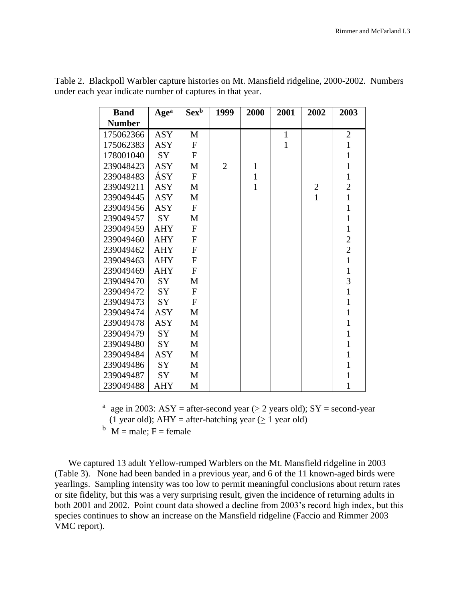| <b>Band</b>   | Age <sup>a</sup> | $Sex^b$          | 1999           | 2000         | 2001         | 2002           | 2003           |
|---------------|------------------|------------------|----------------|--------------|--------------|----------------|----------------|
| <b>Number</b> |                  |                  |                |              |              |                |                |
| 175062366     | <b>ASY</b>       | M                |                |              | $\mathbf{1}$ |                | $\overline{2}$ |
| 175062383     | <b>ASY</b>       | $\boldsymbol{F}$ |                |              | $\mathbf{1}$ |                | $\mathbf{1}$   |
| 178001040     | <b>SY</b>        | $\mathbf F$      |                |              |              |                | $\mathbf{1}$   |
| 239048423     | <b>ASY</b>       | M                | $\overline{2}$ | $\mathbf{1}$ |              |                | $\mathbf{1}$   |
| 239048483     | ÁSY              | $\mathbf F$      |                | $\mathbf{1}$ |              |                | $\mathbf{1}$   |
| 239049211     | <b>ASY</b>       | M                |                | $\mathbf{1}$ |              | $\overline{c}$ | $\overline{c}$ |
| 239049445     | <b>ASY</b>       | M                |                |              |              | $\mathbf{1}$   | $\mathbf{1}$   |
| 239049456     | <b>ASY</b>       | $\mathbf F$      |                |              |              |                | $\mathbf{1}$   |
| 239049457     | <b>SY</b>        | M                |                |              |              |                | $\mathbf{1}$   |
| 239049459     | <b>AHY</b>       | $\mathbf F$      |                |              |              |                | $\mathbf{1}$   |
| 239049460     | <b>AHY</b>       | $\mathbf{F}$     |                |              |              |                | $\overline{c}$ |
| 239049462     | <b>AHY</b>       | $\mathbf{F}$     |                |              |              |                | $\overline{2}$ |
| 239049463     | <b>AHY</b>       | $\mathbf{F}$     |                |              |              |                | $\mathbf{1}$   |
| 239049469     | <b>AHY</b>       | $\mathbf{F}$     |                |              |              |                | $\mathbf{1}$   |
| 239049470     | SY               | M                |                |              |              |                | $\overline{3}$ |
| 239049472     | SY               | $\mathbf{F}$     |                |              |              |                | $\mathbf{1}$   |
| 239049473     | SY               | $\mathbf{F}$     |                |              |              |                | $\mathbf{1}$   |
| 239049474     | <b>ASY</b>       | M                |                |              |              |                | $\mathbf{1}$   |
| 239049478     | <b>ASY</b>       | M                |                |              |              |                | $\mathbf{1}$   |
| 239049479     | <b>SY</b>        | M                |                |              |              |                | $\mathbf{1}$   |
| 239049480     | <b>SY</b>        | M                |                |              |              |                | $\mathbf{1}$   |
| 239049484     | <b>ASY</b>       | M                |                |              |              |                | $\mathbf{1}$   |
| 239049486     | <b>SY</b>        | M                |                |              |              |                | $\mathbf{1}$   |
| 239049487     | SY               | M                |                |              |              |                | $\mathbf{1}$   |
| 239049488     | <b>AHY</b>       | M                |                |              |              |                | 1              |

Table 2. Blackpoll Warbler capture histories on Mt. Mansfield ridgeline, 2000-2002. Numbers under each year indicate number of captures in that year.

> <sup>a</sup> age in 2003: ASY = after-second year ( $\geq$  2 years old); SY = second-year (1 year old); AHY = after-hatching year  $(> 1$  year old)

 $b$  M = male; F = female

We captured 13 adult Yellow-rumped Warblers on the Mt. Mansfield ridgeline in 2003 (Table 3). None had been banded in a previous year, and 6 of the 11 known-aged birds were yearlings. Sampling intensity was too low to permit meaningful conclusions about return rates or site fidelity, but this was a very surprising result, given the incidence of returning adults in both 2001 and 2002. Point count data showed a decline from 2003's record high index, but this species continues to show an increase on the Mansfield ridgeline (Faccio and Rimmer 2003 VMC report).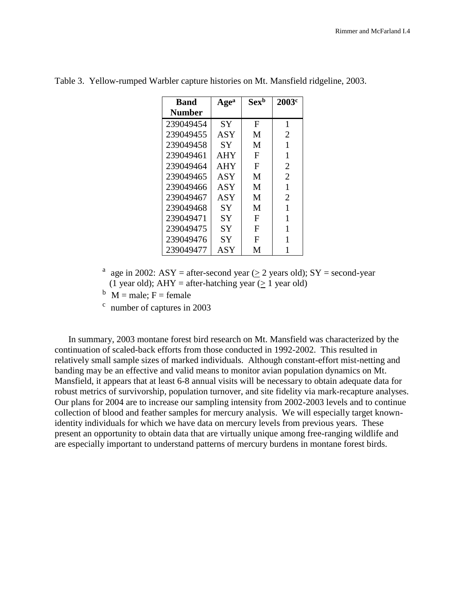| <b>Band</b>   | Age <sup>a</sup> | $Sex^b$ | 2003 <sup>c</sup> |
|---------------|------------------|---------|-------------------|
| <b>Number</b> |                  |         |                   |
| 239049454     | SY               | F       | 1                 |
| 239049455     | ASY              | M       | 2                 |
| 239049458     | SY               | M       | 1                 |
| 239049461     | AHY              | F       | 1                 |
| 239049464     | AHY              | F       | $\overline{2}$    |
| 239049465     | ASY              | M       | $\overline{2}$    |
| 239049466     | ASY              | M       | 1                 |
| 239049467     | ASY              | M       | $\overline{2}$    |
| 239049468     | SY               | M       | 1                 |
| 239049471     | <b>SY</b>        | F       | 1                 |
| 239049475     | SY               | F       | 1                 |
| 239049476     | SY               | F       |                   |
| 239049477     | ASY              | М       |                   |

Table 3. Yellow-rumped Warbler capture histories on Mt. Mansfield ridgeline, 2003.

- <sup>a</sup> age in 2002: ASY = after-second year ( $\geq$  2 years old); SY = second-year (1 year old);  $AHY = after-hatching year (> 1 year$  old)
- $b$  M = male; F = female
- c number of captures in 2003

In summary, 2003 montane forest bird research on Mt. Mansfield was characterized by the continuation of scaled-back efforts from those conducted in 1992-2002. This resulted in relatively small sample sizes of marked individuals. Although constant-effort mist-netting and banding may be an effective and valid means to monitor avian population dynamics on Mt. Mansfield, it appears that at least 6-8 annual visits will be necessary to obtain adequate data for robust metrics of survivorship, population turnover, and site fidelity via mark-recapture analyses. Our plans for 2004 are to increase our sampling intensity from 2002-2003 levels and to continue collection of blood and feather samples for mercury analysis. We will especially target knownidentity individuals for which we have data on mercury levels from previous years. These present an opportunity to obtain data that are virtually unique among free-ranging wildlife and are especially important to understand patterns of mercury burdens in montane forest birds.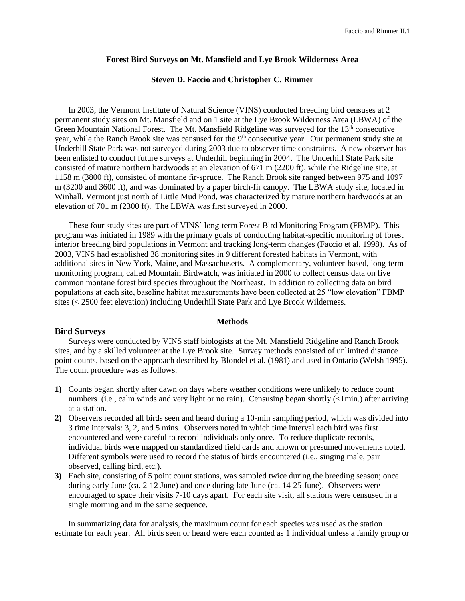### **Forest Bird Surveys on Mt. Mansfield and Lye Brook Wilderness Area**

### **Steven D. Faccio and Christopher C. Rimmer**

In 2003, the Vermont Institute of Natural Science (VINS) conducted breeding bird censuses at 2 permanent study sites on Mt. Mansfield and on 1 site at the Lye Brook Wilderness Area (LBWA) of the Green Mountain National Forest. The Mt. Mansfield Ridgeline was surveyed for the 13<sup>th</sup> consecutive year, while the Ranch Brook site was censused for the 9<sup>th</sup> consecutive year. Our permanent study site at Underhill State Park was not surveyed during 2003 due to observer time constraints. A new observer has been enlisted to conduct future surveys at Underhill beginning in 2004. The Underhill State Park site consisted of mature northern hardwoods at an elevation of 671 m (2200 ft), while the Ridgeline site, at 1158 m (3800 ft), consisted of montane fir-spruce. The Ranch Brook site ranged between 975 and 1097 m (3200 and 3600 ft), and was dominated by a paper birch-fir canopy. The LBWA study site, located in Winhall, Vermont just north of Little Mud Pond, was characterized by mature northern hardwoods at an elevation of 701 m (2300 ft). The LBWA was first surveyed in 2000.

These four study sites are part of VINS' long-term Forest Bird Monitoring Program (FBMP). This program was initiated in 1989 with the primary goals of conducting habitat-specific monitoring of forest interior breeding bird populations in Vermont and tracking long-term changes (Faccio et al. 1998). As of 2003, VINS had established 38 monitoring sites in 9 different forested habitats in Vermont, with additional sites in New York, Maine, and Massachusetts. A complementary, volunteer-based, long-term monitoring program, called Mountain Birdwatch, was initiated in 2000 to collect census data on five common montane forest bird species throughout the Northeast. In addition to collecting data on bird populations at each site, baseline habitat measurements have been collected at 25 "low elevation" FBMP sites (< 2500 feet elevation) including Underhill State Park and Lye Brook Wilderness.

### **Methods**

### **Bird Surveys**

Surveys were conducted by VINS staff biologists at the Mt. Mansfield Ridgeline and Ranch Brook sites, and by a skilled volunteer at the Lye Brook site. Survey methods consisted of unlimited distance point counts, based on the approach described by Blondel et al. (1981) and used in Ontario (Welsh 1995). The count procedure was as follows:

- **1)** Counts began shortly after dawn on days where weather conditions were unlikely to reduce count numbers (i.e., calm winds and very light or no rain). Censusing began shortly (<1min.) after arriving at a station.
- **2)** Observers recorded all birds seen and heard during a 10-min sampling period, which was divided into 3 time intervals: 3, 2, and 5 mins. Observers noted in which time interval each bird was first encountered and were careful to record individuals only once. To reduce duplicate records, individual birds were mapped on standardized field cards and known or presumed movements noted. Different symbols were used to record the status of birds encountered (i.e., singing male, pair observed, calling bird, etc.).
- **3)** Each site, consisting of 5 point count stations, was sampled twice during the breeding season; once during early June (ca. 2-12 June) and once during late June (ca. 14-25 June). Observers were encouraged to space their visits 7-10 days apart. For each site visit, all stations were censused in a single morning and in the same sequence.

In summarizing data for analysis, the maximum count for each species was used as the station estimate for each year. All birds seen or heard were each counted as 1 individual unless a family group or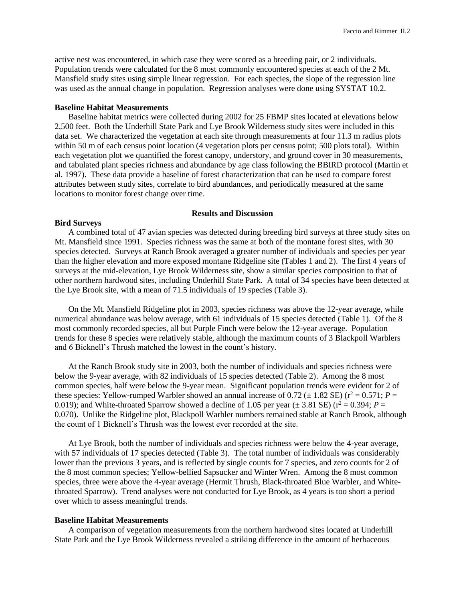active nest was encountered, in which case they were scored as a breeding pair, or 2 individuals. Population trends were calculated for the 8 most commonly encountered species at each of the 2 Mt. Mansfield study sites using simple linear regression. For each species, the slope of the regression line was used as the annual change in population. Regression analyses were done using SYSTAT 10.2.

#### **Baseline Habitat Measurements**

Baseline habitat metrics were collected during 2002 for 25 FBMP sites located at elevations below 2,500 feet. Both the Underhill State Park and Lye Brook Wilderness study sites were included in this data set. We characterized the vegetation at each site through measurements at four 11.3 m radius plots within 50 m of each census point location (4 vegetation plots per census point; 500 plots total). Within each vegetation plot we quantified the forest canopy, understory, and ground cover in 30 measurements, and tabulated plant species richness and abundance by age class following the BBIRD protocol (Martin et al. 1997). These data provide a baseline of forest characterization that can be used to compare forest attributes between study sites, correlate to bird abundances, and periodically measured at the same locations to monitor forest change over time.

### **Results and Discussion**

#### **Bird Surveys**

A combined total of 47 avian species was detected during breeding bird surveys at three study sites on Mt. Mansfield since 1991. Species richness was the same at both of the montane forest sites, with 30 species detected. Surveys at Ranch Brook averaged a greater number of individuals and species per year than the higher elevation and more exposed montane Ridgeline site (Tables 1 and 2). The first 4 years of surveys at the mid-elevation, Lye Brook Wilderness site, show a similar species composition to that of other northern hardwood sites, including Underhill State Park. A total of 34 species have been detected at the Lye Brook site, with a mean of 71.5 individuals of 19 species (Table 3).

On the Mt. Mansfield Ridgeline plot in 2003, species richness was above the 12-year average, while numerical abundance was below average, with 61 individuals of 15 species detected (Table 1). Of the 8 most commonly recorded species, all but Purple Finch were below the 12-year average. Population trends for these 8 species were relatively stable, although the maximum counts of 3 Blackpoll Warblers and 6 Bicknell's Thrush matched the lowest in the count's history.

At the Ranch Brook study site in 2003, both the number of individuals and species richness were below the 9-year average, with 82 individuals of 15 species detected (Table 2). Among the 8 most common species, half were below the 9-year mean. Significant population trends were evident for 2 of these species: Yellow-rumped Warbler showed an annual increase of 0.72 ( $\pm$  1.82 SE) ( $r^2$  = 0.571; *P* = 0.019); and White-throated Sparrow showed a decline of 1.05 per year ( $\pm$  3.81 SE) ( $r^2$  = 0.394; *P* = 0.070). Unlike the Ridgeline plot, Blackpoll Warbler numbers remained stable at Ranch Brook, although the count of 1 Bicknell's Thrush was the lowest ever recorded at the site.

At Lye Brook, both the number of individuals and species richness were below the 4-year average, with 57 individuals of 17 species detected (Table 3). The total number of individuals was considerably lower than the previous 3 years, and is reflected by single counts for 7 species, and zero counts for 2 of the 8 most common species; Yellow-bellied Sapsucker and Winter Wren. Among the 8 most common species, three were above the 4-year average (Hermit Thrush, Black-throated Blue Warbler, and Whitethroated Sparrow). Trend analyses were not conducted for Lye Brook, as 4 years is too short a period over which to assess meaningful trends.

#### **Baseline Habitat Measurements**

A comparison of vegetation measurements from the northern hardwood sites located at Underhill State Park and the Lye Brook Wilderness revealed a striking difference in the amount of herbaceous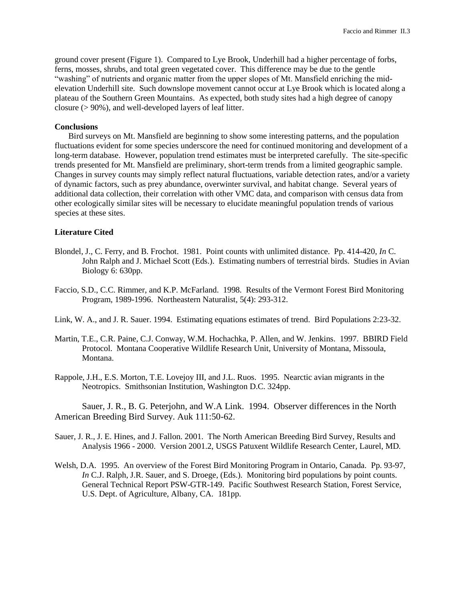ground cover present (Figure 1). Compared to Lye Brook, Underhill had a higher percentage of forbs, ferns, mosses, shrubs, and total green vegetated cover. This difference may be due to the gentle "washing" of nutrients and organic matter from the upper slopes of Mt. Mansfield enriching the midelevation Underhill site. Such downslope movement cannot occur at Lye Brook which is located along a plateau of the Southern Green Mountains. As expected, both study sites had a high degree of canopy closure (> 90%), and well-developed layers of leaf litter.

#### **Conclusions**

Bird surveys on Mt. Mansfield are beginning to show some interesting patterns, and the population fluctuations evident for some species underscore the need for continued monitoring and development of a long-term database. However, population trend estimates must be interpreted carefully. The site-specific trends presented for Mt. Mansfield are preliminary, short-term trends from a limited geographic sample. Changes in survey counts may simply reflect natural fluctuations, variable detection rates, and/or a variety of dynamic factors, such as prey abundance, overwinter survival, and habitat change. Several years of additional data collection, their correlation with other VMC data, and comparison with census data from other ecologically similar sites will be necessary to elucidate meaningful population trends of various species at these sites.

### **Literature Cited**

- Blondel, J., C. Ferry, and B. Frochot. 1981. Point counts with unlimited distance. Pp. 414-420, *In* C. John Ralph and J. Michael Scott (Eds.). Estimating numbers of terrestrial birds. Studies in Avian Biology 6: 630pp.
- Faccio, S.D., C.C. Rimmer, and K.P. McFarland. 1998. Results of the Vermont Forest Bird Monitoring Program, 1989-1996. Northeastern Naturalist, 5(4): 293-312.
- Link, W. A., and J. R. Sauer. 1994. Estimating equations estimates of trend. Bird Populations 2:23-32.
- Martin, T.E., C.R. Paine, C.J. Conway, W.M. Hochachka, P. Allen, and W. Jenkins. 1997. BBIRD Field Protocol. Montana Cooperative Wildlife Research Unit, University of Montana, Missoula, Montana.
- Rappole, J.H., E.S. Morton, T.E. Lovejoy III, and J.L. Ruos. 1995. Nearctic avian migrants in the Neotropics. Smithsonian Institution, Washington D.C. 324pp.

Sauer, J. R., B. G. Peterjohn, and W.A Link. 1994. Observer differences in the North American Breeding Bird Survey. Auk 111:50-62.

- Sauer, J. R., J. E. Hines, and J. Fallon. 2001. The North American Breeding Bird Survey, Results and Analysis 1966 - 2000. Version 2001.2, USGS Patuxent Wildlife Research Center*,* Laurel, MD*.*
- Welsh, D.A. 1995. An overview of the Forest Bird Monitoring Program in Ontario, Canada. Pp. 93-97, *In* C.J. Ralph, J.R. Sauer, and S. Droege, (Eds.). Monitoring bird populations by point counts. General Technical Report PSW-GTR-149. Pacific Southwest Research Station, Forest Service, U.S. Dept. of Agriculture, Albany, CA. 181pp.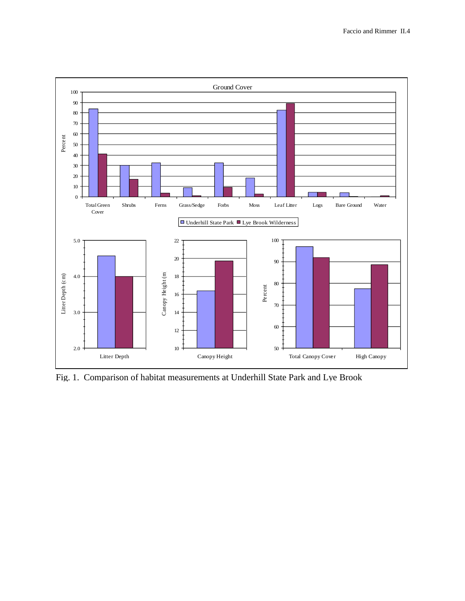

Fig. 1. Comparison of habitat measurements at Underhill State Park and Lye Brook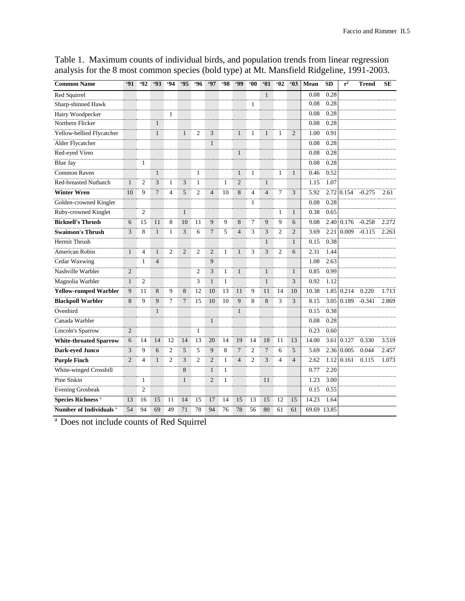| <b>Common Name</b>                  | 91             | $-92$          | <b>'93</b>      | $-94$          | $\overline{95}$ | $-96$          | <b>'97</b>     | $-98$        | <b>499</b>     | $00^{\circ}$   | $\overline{\overline{\mathbf{01}}}$ | 02             | $-03$          | Mean        | SD   | $r^2$ | <b>Trend</b> | <b>SE</b> |
|-------------------------------------|----------------|----------------|-----------------|----------------|-----------------|----------------|----------------|--------------|----------------|----------------|-------------------------------------|----------------|----------------|-------------|------|-------|--------------|-----------|
| Red Squirrel                        |                |                |                 |                |                 |                |                |              |                |                | $\mathbf{1}$                        |                |                | 0.08        | 0.28 |       |              |           |
| Sharp-shinned Hawk                  |                |                |                 |                |                 |                |                |              |                | 1              |                                     |                |                | 0.08        | 0.28 |       |              |           |
| Hairy Woodpecker                    |                |                |                 | 1              |                 |                |                |              |                |                |                                     |                |                | 0.08        | 0.28 |       |              |           |
| Northern Flicker                    |                |                | $\mathbf{1}$    |                |                 |                |                |              |                |                |                                     |                |                | 0.08        | 0.28 |       |              |           |
| Yellow-bellied Flycatcher           |                |                | $\mathbf{1}$    |                | $\mathbf{1}$    | $\overline{2}$ | 3              |              | $\mathbf{1}$   | 1              | $\mathbf{1}$                        | 1              | $\overline{2}$ | 1.00        | 0.91 |       |              |           |
| Alder Flycatcher                    |                |                |                 |                |                 |                | $\mathbf{1}$   |              |                |                |                                     |                |                | 0.08        | 0.28 |       |              |           |
| Red-eyed Vireo                      |                |                |                 |                |                 |                |                |              | $\mathbf{1}$   |                |                                     |                |                | 0.08        | 0.28 |       |              |           |
| <b>Blue Jay</b>                     |                | 1              |                 |                |                 |                |                |              |                |                |                                     |                |                | 0.08        | 0.28 |       |              |           |
| <b>Common Raven</b>                 |                |                | $\mathbf{1}$    |                |                 | 1              |                |              | $\mathbf{1}$   | 1              |                                     | 1              | $\mathbf{1}$   | 0.46        | 0.52 |       |              |           |
| <b>Red-breasted Nuthatch</b>        | $\mathbf{1}$   | $\overline{c}$ | 3               | $\mathbf{1}$   | 3               | $\mathbf{1}$   |                | 1            | $\overline{2}$ |                | $\mathbf{1}$                        |                |                | 1.15        | 1.07 |       |              |           |
| <b>Winter Wren</b>                  | 10             | 9              | $7\phantom{.0}$ | $\overline{4}$ | 5               | $\overline{2}$ | $\overline{4}$ | 10           | 8              | 4              | $\overline{4}$                      | $\overline{7}$ | 3              | 5.92        | 2.72 | 0.154 | $-0.275$     | 2.61      |
| Golden-crowned Kinglet              |                |                |                 |                |                 |                |                |              |                | 1              |                                     |                |                | 0.08        | 0.28 |       |              |           |
| Ruby-crowned Kinglet                |                | $\overline{2}$ |                 |                | $\mathbf{1}$    |                |                |              |                |                |                                     | 1              | $\mathbf{1}$   | 0.38        | 0.65 |       |              |           |
| <b>Bicknell's Thrush</b>            | 6              | 15             | 11              | 8              | 10              | 11             | 9              | 9            | 8              | $\overline{7}$ | 9                                   | $\overline{9}$ | 6              | 9.08        | 2.40 | 0.176 | $-0.258$     | 2.272     |
| <b>Swainson's Thrush</b>            | 3              | 8              | $\mathbf{1}$    | $\mathbf{1}$   | 3               | 6              | $\tau$         | 5            | $\overline{4}$ | 3              | 3                                   | $\overline{2}$ | 2              | 3.69        | 2.21 | 0.009 | $-0.115$     | 2.263     |
| Hermit Thrush                       |                |                |                 |                |                 |                |                |              |                |                | $\mathbf{1}$                        |                | $\mathbf{1}$   | 0.15        | 0.38 |       |              |           |
| American Robin                      | $\mathbf{1}$   | $\overline{4}$ | $\mathbf{1}$    | $\overline{2}$ | $\overline{2}$  | $\overline{2}$ | $\overline{2}$ | 1            | $\mathbf{1}$   | 3              | 3                                   | $\overline{c}$ | 6              | 2.31        | 1.44 |       |              |           |
| Cedar Waxwing                       |                | 1              | $\overline{4}$  |                |                 |                | 9              |              |                |                |                                     |                |                | 1.08        | 2.63 |       |              |           |
| Nashville Warbler                   | $\overline{2}$ |                |                 |                |                 | $\overline{2}$ | 3              | $\mathbf{1}$ | $\mathbf{1}$   |                | $\mathbf{1}$                        |                | $\mathbf{1}$   | 0.85        | 0.99 |       |              |           |
| Magnolia Warbler                    | $\mathbf{1}$   | 2              |                 |                |                 | 3              | $\mathbf{1}$   | -1           |                |                | $\mathbf{1}$                        |                | 3              | 0.92        | 1.12 |       |              |           |
| <b>Yellow-rumped Warbler</b>        | 9              | 11             | 8               | 9              | 8               | 12             | 10             | 13           | 11             | 9              | 11                                  | 14             | 10             | 10.38       | 1.85 | 0.214 | 0.220        | 1.713     |
| <b>Blackpoll Warbler</b>            | 8              | 9              | 9               | 7              | $7\phantom{.0}$ | 15             | 10             | 10           | 9              | 8              | 8                                   | 3              | 3              | 8.15        | 3.05 | 0.189 | $-0.341$     | 2.869     |
| Ovenbird                            |                |                | $\mathbf{1}$    |                |                 |                |                |              | $\mathbf{1}$   |                |                                     |                |                | 0.15        | 0.38 |       |              |           |
| Canada Warbler                      |                |                |                 |                |                 |                | $\mathbf{1}$   |              |                |                |                                     |                |                | 0.08        | 0.28 |       |              |           |
| Lincoln's Sparrow                   | $\overline{2}$ |                |                 |                |                 | 1              |                |              |                |                |                                     |                |                | 0.23        | 0.60 |       |              |           |
| <b>White-throated Sparrow</b>       | 6              | 14             | 14              | 12             | 14              | 13             | 20             | 14           | 19             | 14             | 18                                  | 11             | 13             | 14.00       | 3.61 | 0.127 | 0.330        | 3.519     |
| <b>Dark-eyed Junco</b>              | 3              | 9              | 6               | 2              | 5               | 5              | 9              | 8            | $\overline{7}$ | $\overline{2}$ | $\overline{7}$                      | 6              | 5              | 5.69        | 2.36 | 0.005 | 0.044        | 2.457     |
| <b>Purple Finch</b>                 | $\overline{2}$ | $\overline{4}$ | $\mathbf{1}$    | $\overline{2}$ | 3               | $\overline{2}$ | $\overline{2}$ | 1            | $\overline{4}$ | $\overline{2}$ | 3                                   | $\overline{4}$ | $\overline{4}$ | 2.62        | 1.12 | 0.161 | 0.115        | 1.073     |
| White-winged Crossbill              |                |                |                 |                | 8               |                | $\mathbf{1}$   | $\mathbf{1}$ |                |                |                                     |                |                | 0.77        | 2.20 |       |              |           |
| Pine Siskin                         |                | 1              |                 |                | $\mathbf{1}$    |                | $\overline{2}$ | $\mathbf{1}$ |                |                | 11                                  |                |                | 1.23        | 3.00 |       |              |           |
| <b>Evening Grosbeak</b>             |                | $\overline{2}$ |                 |                |                 |                |                |              |                |                |                                     |                |                | 0.15        | 0.55 |       |              |           |
| <b>Species Richness<sup>a</sup></b> | 13             | 16             | 15              | 11             | 14              | 15             | 17             | 14           | 15             | 13             | 15                                  | 12             | 15             | 14.23       | 1.64 |       |              |           |
| Number of Individuals <sup>a</sup>  | 54             | 94             | 69              | 49             | 71              | 78             | 94             | 76           | 78             | 56             | 80                                  | 61             | 61             | 69.69 13.85 |      |       |              |           |

Table 1. Maximum counts of individual birds, and population trends from linear regression analysis for the 8 most common species (bold type) at Mt. Mansfield Ridgeline, 1991-2003.

<sup>a</sup> Does not include counts of Red Squirrel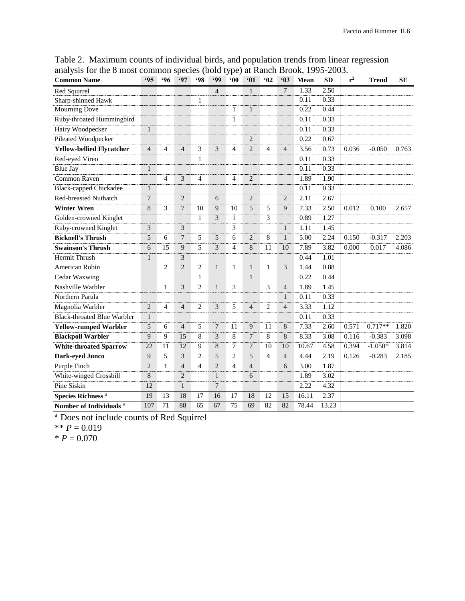| anarysis for the $\delta$ most common species (bold type) at Kanch Brook, 1995-2005.<br><b>Common Name</b> | <b>'95</b>     | .96            | <b>'97</b>                  | $-98$          | <b>499</b>     | $90^\circ$     | 91             | 92             | 03              | Mean  | <b>SD</b> | $r^2$ | <b>Trend</b> | <b>SE</b> |
|------------------------------------------------------------------------------------------------------------|----------------|----------------|-----------------------------|----------------|----------------|----------------|----------------|----------------|-----------------|-------|-----------|-------|--------------|-----------|
| Red Squirrel                                                                                               |                |                |                             |                | $\overline{4}$ |                | $\mathbf{1}$   |                | $7\phantom{.0}$ | 1.33  | 2.50      |       |              |           |
| Sharp-shinned Hawk                                                                                         |                |                |                             | 1              |                |                |                |                |                 | 0.11  | 0.33      |       |              |           |
| <b>Mourning Dove</b>                                                                                       |                |                |                             |                |                | 1              | $\mathbf{1}$   |                |                 | 0.22  | 0.44      |       |              |           |
| Ruby-throated Hummingbird                                                                                  |                |                |                             |                |                | 1              |                |                |                 | 0.11  | 0.33      |       |              |           |
| <b>Hairy Woodpecker</b>                                                                                    | $\mathbf{1}$   |                |                             |                |                |                |                |                |                 | 0.11  | 0.33      |       |              |           |
| Pileated Woodpecker                                                                                        |                |                |                             |                |                |                | $\overline{2}$ |                |                 | 0.22  | 0.67      |       |              |           |
| <b>Yellow-bellied Flycatcher</b>                                                                           | $\overline{4}$ | $\overline{4}$ | $\overline{4}$              | 3              | 3              | 4              | $\overline{2}$ | 4              | $\overline{4}$  | 3.56  | 0.73      | 0.036 | $-0.050$     | 0.763     |
| Red-eyed Vireo                                                                                             |                |                |                             | 1              |                |                |                |                |                 | 0.11  | 0.33      |       |              |           |
| <b>Blue Jay</b>                                                                                            | $\mathbf{1}$   |                |                             |                |                |                |                |                |                 | 0.11  | 0.33      |       |              |           |
| Common Raven                                                                                               |                | $\overline{4}$ | 3                           | $\overline{4}$ |                | 4              | 2              |                |                 | 1.89  | 1.90      |       |              |           |
| <b>Black-capped Chickadee</b>                                                                              | $\mathbf{1}$   |                |                             |                |                |                |                |                |                 | 0.11  | 0.33      |       |              |           |
| <b>Red-breasted Nuthatch</b>                                                                               | $\overline{7}$ |                | $\mathcal{D}_{\mathcal{L}}$ |                | 6              |                | $\overline{2}$ |                | $\overline{2}$  | 2.11  | 2.67      |       |              |           |
| <b>Winter Wren</b>                                                                                         | 8              | 3              | $\tau$                      | 10             | 9              | 10             | 5              | 5              | 9               | 7.33  | 2.50      | 0.012 | 0.100        | 2.657     |
| Golden-crowned Kinglet                                                                                     |                |                |                             | $\mathbf{1}$   | 3              | $\mathbf{1}$   |                | 3              |                 | 0.89  | 1.27      |       |              |           |
| Ruby-crowned Kinglet                                                                                       | 3              |                | 3                           |                |                | 3              |                |                | $\mathbf{1}$    | 1.11  | 1.45      |       |              |           |
| <b>Bicknell's Thrush</b>                                                                                   | 5              | 6              | $\overline{7}$              | 5              | 5              | 6              | $\overline{2}$ | 8              | $\mathbf{1}$    | 5.00  | 2.24      | 0.150 | $-0.317$     | 2.203     |
| <b>Swainson's Thrush</b>                                                                                   | 6              | 15             | 9                           | 5              | 3              | 4              | 8              | 11             | 10              | 7.89  | 3.82      | 0.000 | 0.017        | 4.086     |
| Hermit Thrush                                                                                              | 1              |                | 3                           |                |                |                |                |                |                 | 0.44  | 1.01      |       |              |           |
| American Robin                                                                                             |                | $\overline{2}$ | $\overline{2}$              | $\overline{c}$ | 1              | 1              | 1              | 1              | 3               | 1.44  | 0.88      |       |              |           |
| Cedar Waxwing                                                                                              |                |                |                             | 1              |                |                | $\mathbf{1}$   |                |                 | 0.22  | 0.44      |       |              |           |
| Nashville Warbler                                                                                          |                | $\mathbf{1}$   | 3                           | $\overline{c}$ | $\mathbf{1}$   | 3              |                | 3              | $\overline{4}$  | 1.89  | 1.45      |       |              |           |
| Northern Parula                                                                                            |                |                |                             |                |                |                |                |                | 1               | 0.11  | 0.33      |       |              |           |
| Magnolia Warbler                                                                                           | $\overline{2}$ | 4              | $\overline{4}$              | $\overline{2}$ | 3              | 5              | $\overline{4}$ | $\overline{2}$ | $\overline{4}$  | 3.33  | 1.12      |       |              |           |
| <b>Black-throated Blue Warbler</b>                                                                         | $\mathbf{1}$   |                |                             |                |                |                |                |                |                 | 0.11  | 0.33      |       |              |           |
| <b>Yellow-rumped Warbler</b>                                                                               | 5              | 6              | $\overline{4}$              | 5              | $\overline{7}$ | 11             | 9              | 11             | $8\,$           | 7.33  | 2.60      | 0.571 | $0.717**$    | 1.820     |
| <b>Blackpoll Warbler</b>                                                                                   | 9              | 9              | 15                          | 8              | 3              | 8              | $\overline{7}$ | 8              | $8\,$           | 8.33  | 3.08      | 0.116 | $-0.383$     | 3.098     |
| <b>White-throated Sparrow</b>                                                                              | 22             | 11             | 12                          | 9              | 8              | 7              | $\overline{7}$ | 10             | 10              | 10.67 | 4.58      | 0.394 | $-1.050*$    | 3.814     |
| Dark-eyed Junco                                                                                            | 9              | 5              | 3                           | $\overline{2}$ | 5              | $\overline{c}$ | 5              | 4              | $\overline{4}$  | 4.44  | 2.19      | 0.126 | $-0.283$     | 2.185     |
| Purple Finch                                                                                               | $\overline{2}$ | 1              | $\overline{4}$              | $\overline{4}$ | $\overline{2}$ | 4              | $\overline{4}$ |                | 6               | 3.00  | 1.87      |       |              |           |
| White-winged Crossbill                                                                                     | 8              |                | $\overline{2}$              |                | $\mathbf{1}$   |                | 6              |                |                 | 1.89  | 3.02      |       |              |           |
| Pine Siskin                                                                                                | 12             |                | 1                           |                | 7              |                |                |                |                 | 2.22  | 4.32      |       |              |           |
| Species Richness <sup>a</sup>                                                                              | 19             | 13             | 18                          | 17             | 16             | 17             | 18             | 12             | 15              | 16.11 | 2.37      |       |              |           |
| Number of Individuals <sup>a</sup>                                                                         | 107            | 71             | 88                          | 65             | 67             | 75             | 69             | 82             | 82              | 78.44 | 13.23     |       |              |           |

Table 2. Maximum counts of individual birds, and population trends from linear regression analysis for the 8 most common species (bold type) at Ranch Brook, 1995-2003.

<sup>a</sup> Does not include counts of Red Squirrel

 $*$ <sup>\*</sup> *P* = 0.019

 $* P = 0.070$